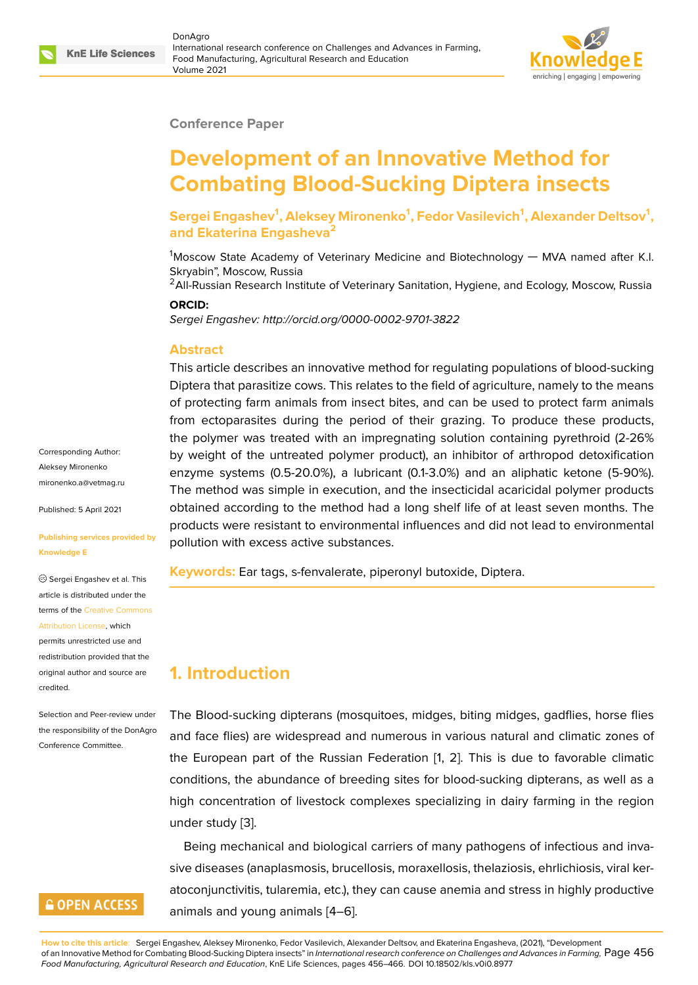### **Conference Paper**

# **Development of an Innovative Method for Combating Blood-Sucking Diptera insects**

**Sergei Engashev<sup>1</sup> , Aleksey Mironenko<sup>1</sup> , Fedor Vasilevich<sup>1</sup> , Alexander Deltsov<sup>1</sup> , and Ekaterina Engasheva<sup>2</sup>**

 $1$ Moscow State Academy of Veterinary Medicine and Biotechnology — MVA named after K.I. Skryabin", Moscow, Russia

<sup>2</sup> All-Russian Research Institute of Veterinary Sanitation, Hygiene, and Ecology, Moscow, Russia **ORCID:**

*Sergei Engashev: http://orcid.org/0000-0002-9701-3822*

### **Abstract**

This article describes an innovative method for regulating populations of blood-sucking Diptera that parasitize cows. This relates to the field of agriculture, namely to the means of protecting farm animals from insect bites, and can be used to protect farm animals from ectoparasites during the period of their grazing. To produce these products, the polymer was treated with an impregnating solution containing pyrethroid (2-26% by weight of the untreated polymer product), an inhibitor of arthropod detoxification enzyme systems (0.5-20.0%), a lubricant (0.1-3.0%) and an aliphatic ketone (5-90%). The method was simple in execution, and the insecticidal acaricidal polymer products obtained according to the method had a long shelf life of at least seven months. The products were resistant to environmental influences and did not lead to environmental pollution with excess active substances.

**Keywords:** Ear tags, s-fenvalerate, piperonyl butoxide, Diptera.

# **1. Introduction**

The Blood-sucking dipterans (mosquitoes, midges, biting midges, gadflies, horse flies and face flies) are widespread and numerous in various natural and climatic zones of the European part of the Russian Federation [1, 2]. This is due to favorable climatic conditions, the abundance of breeding sites for blood-sucking dipterans, as well as a high concentration of livestock complexes specializing in dairy farming in the region under study [3].

Being mechanical and biological carriers of many pathogens of infectious and invasive diseases (anaplasmosis, brucellosis, moraxellosis, thelaziosis, ehrlichiosis, viral keratoconjuncti[vit](#page-8-0)is, tularemia, etc.), they can cause anemia and stress in highly productive animals and young animals [4–6].

**How to cite this article**: Sergei Engashev, Aleksey Mironenko, Fedor Vasilevich, Alexander Deltsov, and Ekaterina Engasheva, (2021), "Development of an Innovative Method for Combating Blood-Sucking Diptera insects" in *International research conference on Challenges and Advances in Farming,* Page 456 *Food Manufacturing, Agricultural Research and Education*, KnE Life Scienc[es](#page-8-1), [pa](#page-8-2)ges 456–466. DOI 10.18502/kls.v0i0.8977

Corresponding Author: Aleksey Mironenko mironenko.a@vetmag.ru

Published: 5 April 2021

#### **[Publishing services pro](mailto:mironenko.a@vetmag.ru)vided by Knowledge E**

Sergei Engashev et al. This article is distributed under the terms of the Creative Commons Attribution License, which

permits unrestricted use and redistribution provided that the original auth[or and source are](https://creativecommons.org/licenses/by/4.0/) [credited.](https://creativecommons.org/licenses/by/4.0/)

Selection and Peer-review under the responsibility of the DonAgro Conference Committee.

# **GOPEN ACCESS**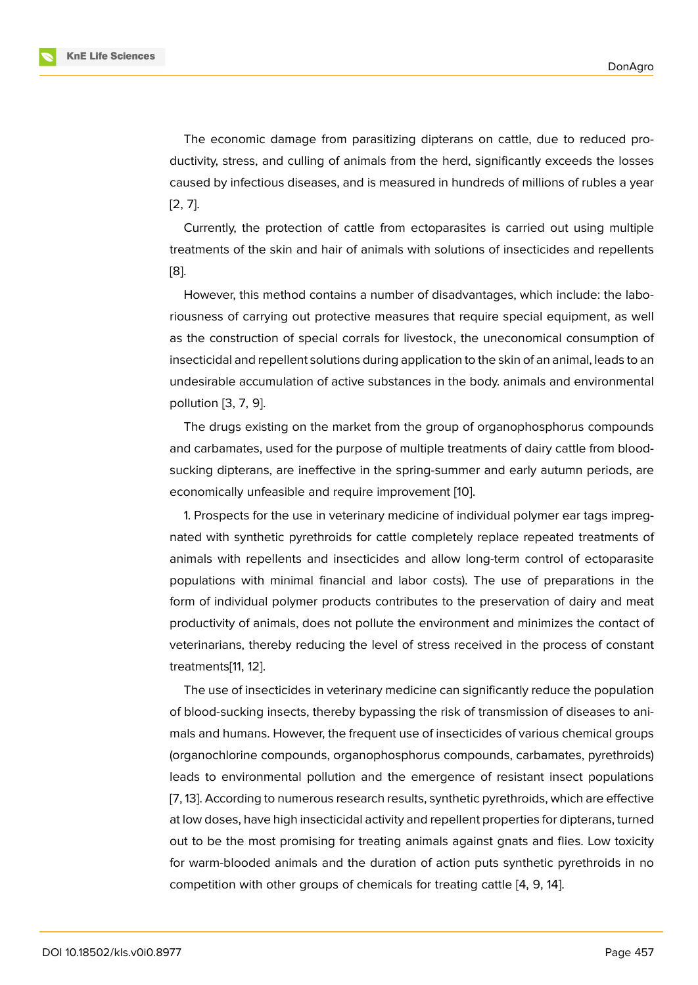The economic damage from parasitizing dipterans on cattle, due to reduced productivity, stress, and culling of animals from the herd, significantly exceeds the losses caused by infectious diseases, and is measured in hundreds of millions of rubles a year [2, 7].

Currently, the protection of cattle from ectoparasites is carried out using multiple treatments of the skin and hair of animals with solutions of insecticides and repellents [[8\]](#page-8-3).

However, this method contains a number of disadvantages, which include: the laboriousness of carrying out protective measures that require special equipment, as well [as](#page-8-4) the construction of special corrals for livestock, the uneconomical consumption of insecticidal and repellent solutions during application to the skin of an animal, leads to an undesirable accumulation of active substances in the body. animals and environmental pollution [3, 7, 9].

The drugs existing on the market from the group of organophosphorus compounds and carbamates, used for the purpose of multiple treatments of dairy cattle from bloodsucking d[ip](#page-8-0)t[er](#page-8-5)[an](#page-9-0)s, are ineffective in the spring-summer and early autumn periods, are economically unfeasible and require improvement [10].

1. Prospects for the use in veterinary medicine of individual polymer ear tags impregnated with synthetic pyrethroids for cattle completely replace repeated treatments of animals with repellents and insecticides and allo[w lo](#page-9-1)ng-term control of ectoparasite populations with minimal financial and labor costs). The use of preparations in the form of individual polymer products contributes to the preservation of dairy and meat productivity of animals, does not pollute the environment and minimizes the contact of veterinarians, thereby reducing the level of stress received in the process of constant treatments[11, 12].

The use of insecticides in veterinary medicine can significantly reduce the population of blood-sucking insects, thereby bypassing the risk of transmission of diseases to animals and h[um](#page-9-2)[an](#page-9-3)s. However, the frequent use of insecticides of various chemical groups (organochlorine compounds, organophosphorus compounds, carbamates, pyrethroids) leads to environmental pollution and the emergence of resistant insect populations [7, 13]. According to numerous research results, synthetic pyrethroids, which are effective at low doses, have high insecticidal activity and repellent properties for dipterans, turned out to be the most promising for treating animals against gnats and flies. Low toxicity [fo](#page-8-5)r [w](#page-9-4)arm-blooded animals and the duration of action puts synthetic pyrethroids in no competition with other groups of chemicals for treating cattle [4, 9, 14].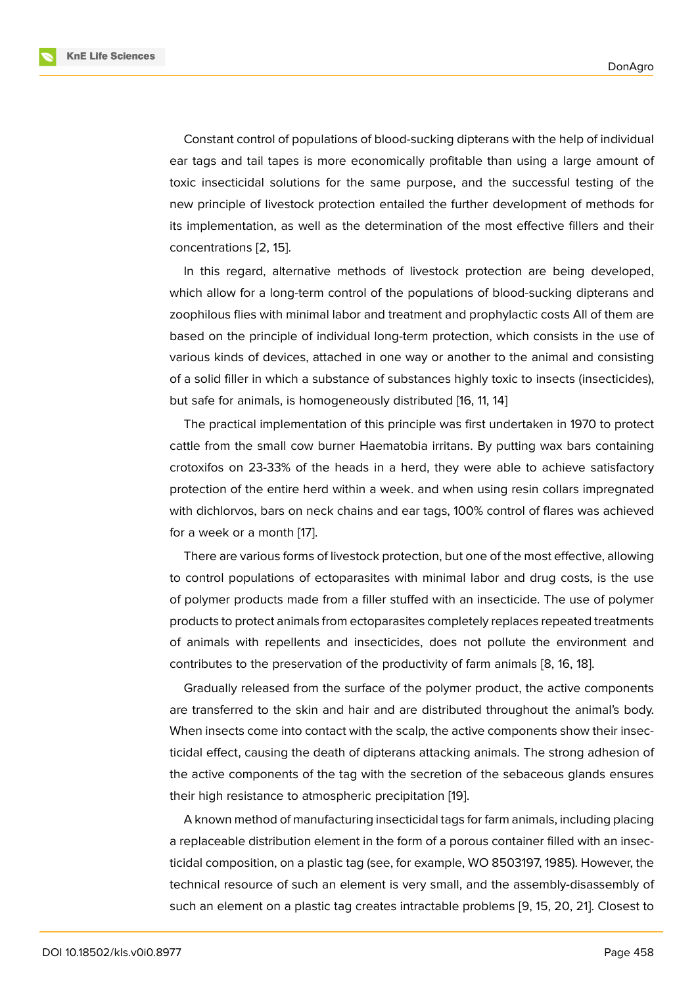Constant control of populations of blood-sucking dipterans with the help of individual ear tags and tail tapes is more economically profitable than using a large amount of toxic insecticidal solutions for the same purpose, and the successful testing of the new principle of livestock protection entailed the further development of methods for its implementation, as well as the determination of the most effective fillers and their concentrations [2, 15].

In this regard, alternative methods of livestock protection are being developed, which allow for a long-term control of the populations of blood-sucking dipterans and zoophilous flies [w](#page-8-3)i[th](#page-9-5) minimal labor and treatment and prophylactic costs All of them are based on the principle of individual long-term protection, which consists in the use of various kinds of devices, attached in one way or another to the animal and consisting of a solid filler in which a substance of substances highly toxic to insects (insecticides), but safe for animals, is homogeneously distributed [16, 11, 14]

The practical implementation of this principle was first undertaken in 1970 to protect cattle from the small cow burner Haematobia irritans. By putting wax bars containing crotoxifos on 23-33% of the heads in a herd, they were able to achieve satisfactory protection of the entire herd within a week. and when using resin collars impregnated with dichlorvos, bars on neck chains and ear tags, 100% control of flares was achieved for a week or a month [17].

There are various forms of livestock protection, but one of the most effective, allowing to control populations of ectoparasites with minimal labor and drug costs, is the use of polymer products m[ad](#page-9-6)e from a filler stuffed with an insecticide. The use of polymer products to protect animals from ectoparasites completely replaces repeated treatments of animals with repellents and insecticides, does not pollute the environment and contributes to the preservation of the productivity of farm animals [8, 16, 18].

Gradually released from the surface of the polymer product, the active components are transferred to the skin and hair and are distributed throughout the animal's body. When insects come into contact with the scalp, the active compone[nts](#page-8-4) [sh](#page-9-7)[ow](#page-9-8) their insecticidal effect, causing the death of dipterans attacking animals. The strong adhesion of the active components of the tag with the secretion of the sebaceous glands ensures their high resistance to atmospheric precipitation [19].

A known method of manufacturing insecticidal tags for farm animals, including placing a replaceable distribution element in the form of a porous container filled with an insecticidal composition, on a plastic tag (see, for exam[ple,](#page-9-9) WO 8503197, 1985). However, the technical resource of such an element is very small, and the assembly-disassembly of such an element on a plastic tag creates intractable problems [9, 15, 20, 21]. Closest to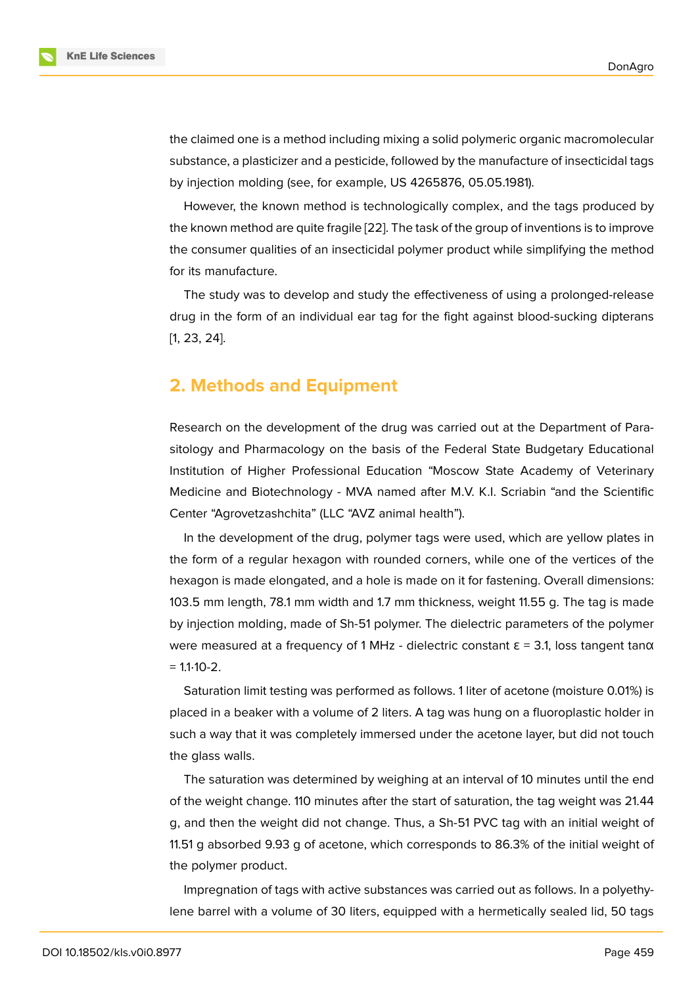the claimed one is a method including mixing a solid polymeric organic macromolecular substance, a plasticizer and a pesticide, followed by the manufacture of insecticidal tags by injection molding (see, for example, US 4265876, 05.05.1981).

However, the known method is technologically complex, and the tags produced by the known method are quite fragile [22]. The task of the group of inventions is to improve the consumer qualities of an insecticidal polymer product while simplifying the method for its manufacture.

The study was to develop and st[udy](#page-10-0) the effectiveness of using a prolonged-release drug in the form of an individual ear tag for the fight against blood-sucking dipterans [1, 23, 24].

# **[2](#page-8-6)[. M](#page-10-1)[et](#page-10-2)hods and Equipment**

Research on the development of the drug was carried out at the Department of Parasitology and Pharmacology on the basis of the Federal State Budgetary Educational Institution of Higher Professional Education "Moscow State Academy of Veterinary Medicine and Biotechnology - MVA named after M.V. K.I. Scriabin "and the Scientific Center "Agrovetzashchita" (LLC "AVZ animal health").

In the development of the drug, polymer tags were used, which are yellow plates in the form of a regular hexagon with rounded corners, while one of the vertices of the hexagon is made elongated, and a hole is made on it for fastening. Overall dimensions: 103.5 mm length, 78.1 mm width and 1.7 mm thickness, weight 11.55 g. The tag is made by injection molding, made of Sh-51 polymer. The dielectric parameters of the polymer were measured at a frequency of 1 MHz - dielectric constant  $\epsilon$  = 3.1, loss tangent tan $\alpha$  $= 1.1 \cdot 10 - 2.$ 

Saturation limit testing was performed as follows. 1 liter of acetone (moisture 0.01%) is placed in a beaker with a volume of 2 liters. A tag was hung on a fluoroplastic holder in such a way that it was completely immersed under the acetone layer, but did not touch the glass walls.

The saturation was determined by weighing at an interval of 10 minutes until the end of the weight change. 110 minutes after the start of saturation, the tag weight was 21.44 g, and then the weight did not change. Thus, a Sh-51 PVC tag with an initial weight of 11.51 g absorbed 9.93 g of acetone, which corresponds to 86.3% of the initial weight of the polymer product.

Impregnation of tags with active substances was carried out as follows. In a polyethylene barrel with a volume of 30 liters, equipped with a hermetically sealed lid, 50 tags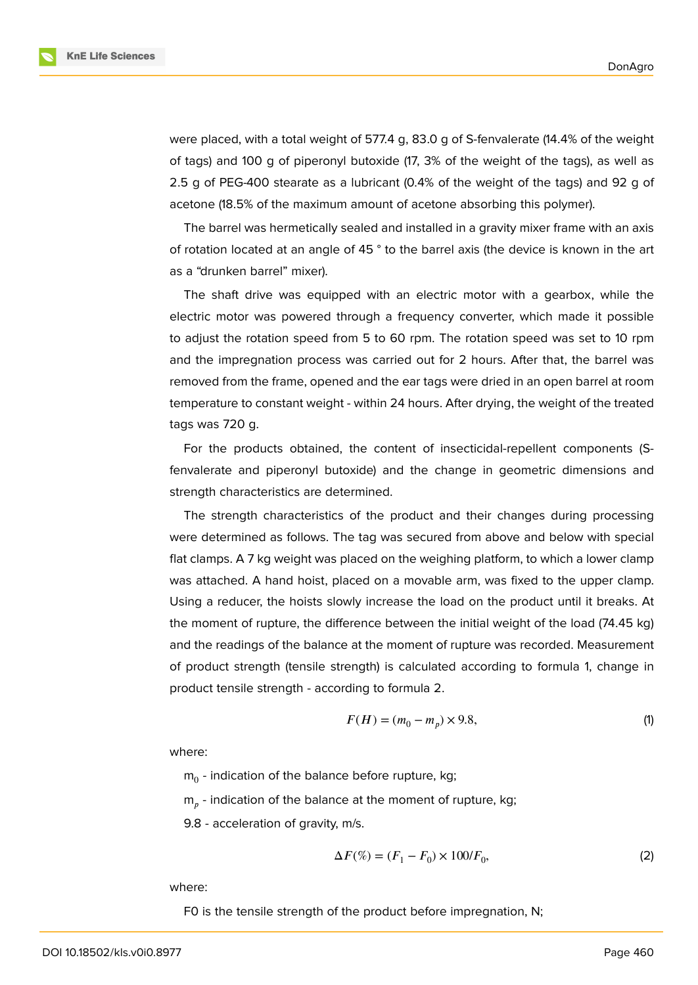**KnE Life Sciences** 

were placed, with a total weight of 577.4 g, 83.0 g of S-fenvalerate (14.4% of the weight of tags) and 100 g of piperonyl butoxide (17, 3% of the weight of the tags), as well as 2.5 g of PEG-400 stearate as a lubricant (0.4% of the weight of the tags) and 92 g of acetone (18.5% of the maximum amount of acetone absorbing this polymer).

The barrel was hermetically sealed and installed in a gravity mixer frame with an axis of rotation located at an angle of 45 ° to the barrel axis (the device is known in the art as a "drunken barrel" mixer).

The shaft drive was equipped with an electric motor with a gearbox, while the electric motor was powered through a frequency converter, which made it possible to adjust the rotation speed from 5 to 60 rpm. The rotation speed was set to 10 rpm and the impregnation process was carried out for 2 hours. After that, the barrel was removed from the frame, opened and the ear tags were dried in an open barrel at room temperature to constant weight - within 24 hours. After drying, the weight of the treated tags was 720 g.

For the products obtained, the content of insecticidal-repellent components (Sfenvalerate and piperonyl butoxide) and the change in geometric dimensions and strength characteristics are determined.

The strength characteristics of the product and their changes during processing were determined as follows. The tag was secured from above and below with special flat clamps. A 7 kg weight was placed on the weighing platform, to which a lower clamp was attached. A hand hoist, placed on a movable arm, was fixed to the upper clamp. Using a reducer, the hoists slowly increase the load on the product until it breaks. At the moment of rupture, the difference between the initial weight of the load (74.45 kg) and the readings of the balance at the moment of rupture was recorded. Measurement of product strength (tensile strength) is calculated according to formula 1, change in product tensile strength - according to formula 2.

$$
F(H) = (m_0 - m_p) \times 9.8,
$$
 (1)

where:

 $m_0$  - indication of the balance before rupture, kg;

 $m_p^{}$  - indication of the balance at the moment of rupture, kg;

9.8 - acceleration of gravity, m/s.

$$
\Delta F(\%) = (F_1 - F_0) \times 100/F_0,\tag{2}
$$

where:

F0 is the tensile strength of the product before impregnation, N;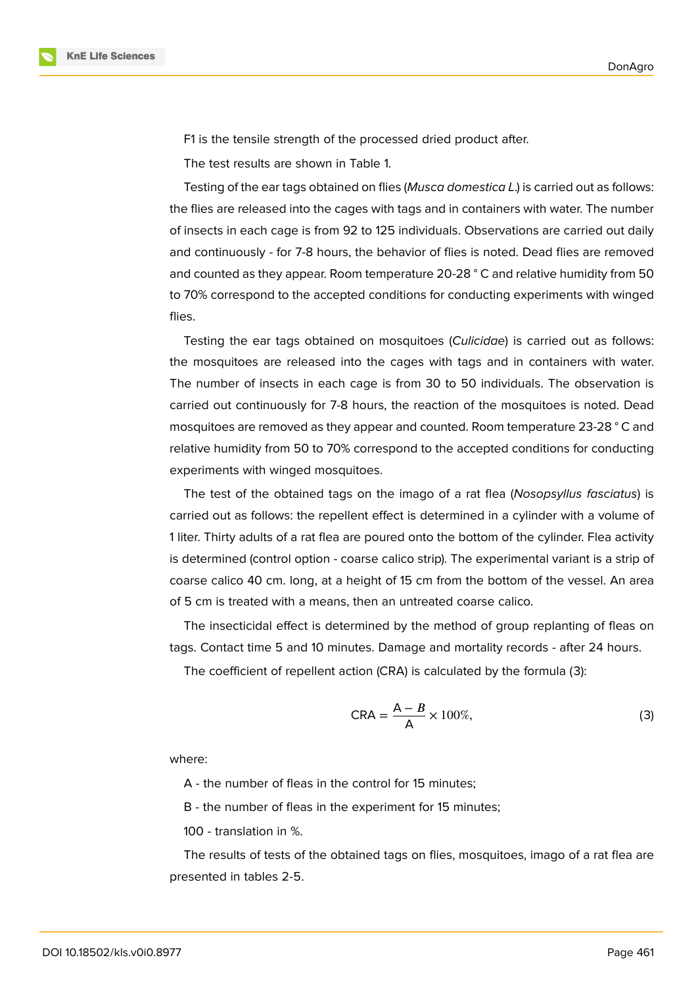

F1 is the tensile strength of the processed dried product after.

The test results are shown in Table 1.

Testing of the ear tags obtained on flies (*Musca domestica L*.) is carried out as follows: the flies are released into the cages with tags and in containers with water. The number of insects in each cage is from 92 to 125 individuals. Observations are carried out daily and continuously - for 7-8 hours, the behavior of flies is noted. Dead flies are removed and counted as they appear. Room temperature 20-28 ° C and relative humidity from 50 to 70% correspond to the accepted conditions for conducting experiments with winged flies.

Testing the ear tags obtained on mosquitoes (*Culicidae*) is carried out as follows: the mosquitoes are released into the cages with tags and in containers with water. The number of insects in each cage is from 30 to 50 individuals. The observation is carried out continuously for 7-8 hours, the reaction of the mosquitoes is noted. Dead mosquitoes are removed as they appear and counted. Room temperature 23-28 ° C and relative humidity from 50 to 70% correspond to the accepted conditions for conducting experiments with winged mosquitoes.

The test of the obtained tags on the imago of a rat flea (*Nosopsyllus fasciatus*) is carried out as follows: the repellent effect is determined in a cylinder with a volume of 1 liter. Thirty adults of a rat flea are poured onto the bottom of the cylinder. Flea activity is determined (control option - coarse calico strip). The experimental variant is a strip of coarse calico 40 cm. long, at a height of 15 cm from the bottom of the vessel. An area of 5 cm is treated with a means, then an untreated coarse calico.

The insecticidal effect is determined by the method of group replanting of fleas on tags. Contact time 5 and 10 minutes. Damage and mortality records - after 24 hours.

The coefficient of repellent action (CRA) is calculated by the formula (3):

$$
CRA = \frac{A - B}{A} \times 100\%,\tag{3}
$$

where:

A - the number of fleas in the control for 15 minutes;

B - the number of fleas in the experiment for 15 minutes;

100 - translation in %.

The results of tests of the obtained tags on flies, mosquitoes, imago of a rat flea are presented in tables 2-5.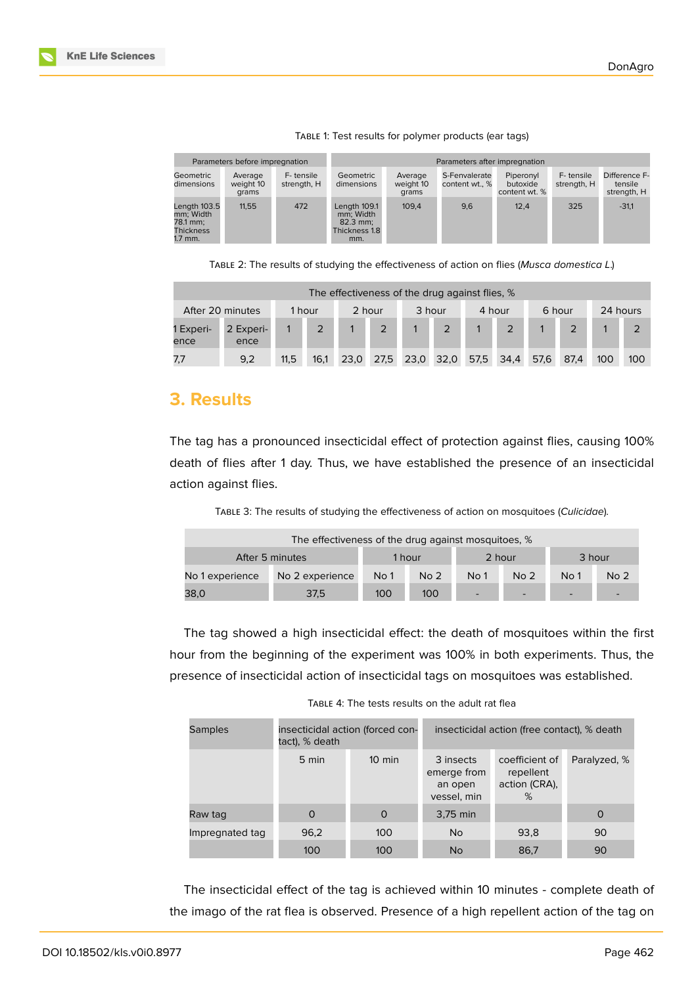

|                                                                      | Parameters before impregnation |                          | Parameters after impregnation                                   |                               |                                 |                                        |                          |                                         |  |  |
|----------------------------------------------------------------------|--------------------------------|--------------------------|-----------------------------------------------------------------|-------------------------------|---------------------------------|----------------------------------------|--------------------------|-----------------------------------------|--|--|
| Geometric<br>dimensions                                              | Average<br>weight 10<br>grams  | F-tensile<br>strength, H | Geometric<br>dimensions                                         | Average<br>weight 10<br>grams | S-Fenvalerate<br>content wt., % | Piperonyl<br>butoxide<br>content wt. % | F-tensile<br>strength, H | Difference F-<br>tensile<br>strength, H |  |  |
| Length 103.5<br>mm: Width<br>78.1 mm:<br><b>Thickness</b><br>1.7 mm. | 11.55                          | 472                      | Length 109.1<br>mm: Width<br>$82.3$ mm:<br>Thickness 1.8<br>mm. | 109.4                         | 9,6                             | 12.4                                   | 325                      | $-31.1$                                 |  |  |

TABLE 1: Test results for polymer products (ear tags)

TABLE 2: The results of studying the effectiveness of action on flies (*Musca domestica L*.)

| The effectiveness of the drug against flies, % |                   |      |      |        |                |           |                |        |      |        |      |          |     |
|------------------------------------------------|-------------------|------|------|--------|----------------|-----------|----------------|--------|------|--------|------|----------|-----|
| After 20 minutes<br>1 hour                     |                   |      |      | 2 hour |                | 3 hour    |                | 4 hour |      | 6 hour |      | 24 hours |     |
| 1 Experi-<br>ence                              | 2 Experi-<br>ence |      |      |        | $\overline{2}$ |           | $\overline{2}$ |        |      |        |      |          |     |
| 7.7                                            | 9.2               | 11,5 | 16.1 | 23,0   | 27.5           | 23,0 32,0 |                | 57.5   | 34,4 | 57.6   | 87.4 | 100      | 100 |

# **3. Results**

The tag has a pronounced insecticidal effect of protection against flies, causing 100% death of flies after 1 day. Thus, we have established the presence of an insecticidal action against flies.

TABLE 3: The results of studying the effectiveness of action on mosquitoes (*Culicidae*).

| The effectiveness of the drug against mosquitoes, % |                 |      |                 |                          |                 |                 |                 |  |  |  |
|-----------------------------------------------------|-----------------|------|-----------------|--------------------------|-----------------|-----------------|-----------------|--|--|--|
| After 5 minutes                                     | 1 hour          |      | 2 hour          |                          | 3 hour          |                 |                 |  |  |  |
| No 1 experience                                     | No 2 experience | No 1 | No <sub>2</sub> | No <sub>1</sub>          | No <sub>2</sub> | No <sub>1</sub> | No <sub>2</sub> |  |  |  |
| 38,0<br>37,5                                        |                 | 100  | 100             | $\overline{\phantom{0}}$ |                 | -               |                 |  |  |  |

The tag showed a high insecticidal effect: the death of mosquitoes within the first hour from the beginning of the experiment was 100% in both experiments. Thus, the presence of insecticidal action of insecticidal tags on mosquitoes was established.

| TABLE 4: The tests results on the adult rat flea |  |  |  |  |  |  |  |
|--------------------------------------------------|--|--|--|--|--|--|--|
|--------------------------------------------------|--|--|--|--|--|--|--|

| <b>Samples</b>  | tact), % death | insecticidal action (forced con- | insecticidal action (free contact), % death        |                                                   |              |  |  |  |  |
|-----------------|----------------|----------------------------------|----------------------------------------------------|---------------------------------------------------|--------------|--|--|--|--|
|                 | 5 min          | $10 \text{ min}$                 | 3 insects<br>emerge from<br>an open<br>vessel, min | coefficient of<br>repellent<br>action (CRA),<br>% | Paralyzed, % |  |  |  |  |
| Raw tag         | $\Omega$       | $\Omega$                         | $3,75$ min                                         |                                                   | $\circ$      |  |  |  |  |
| Impregnated tag | 96,2           | 100                              | <b>No</b>                                          | 93,8                                              | 90           |  |  |  |  |
|                 | 100            | 100                              | <b>No</b>                                          | 86,7                                              | 90           |  |  |  |  |

The insecticidal effect of the tag is achieved within 10 minutes - complete death of the imago of the rat flea is observed. Presence of a high repellent action of the tag on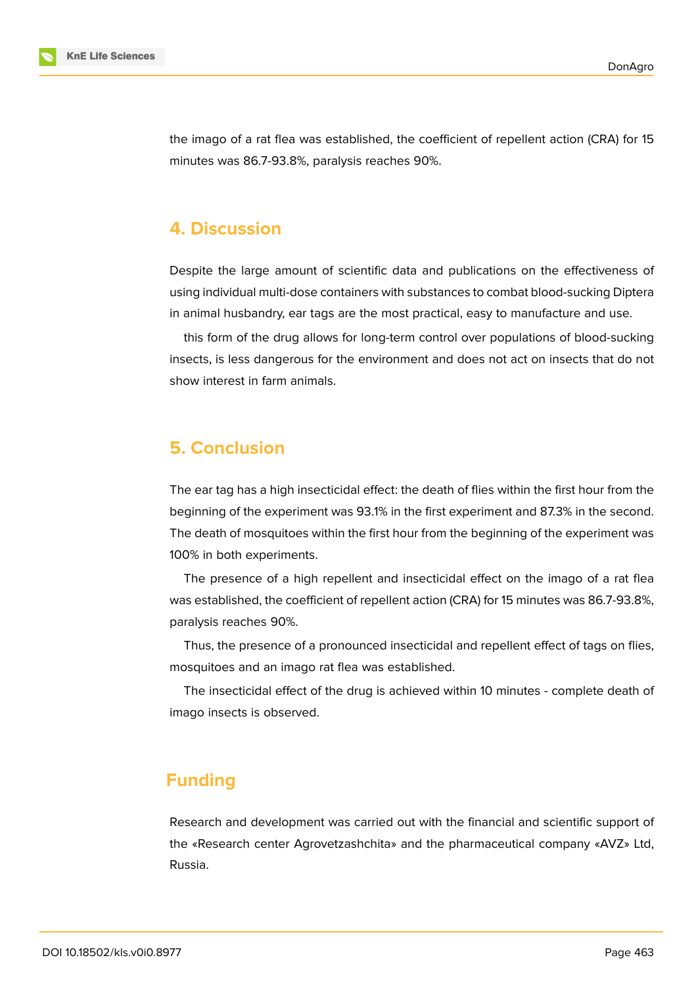

the imago of a rat flea was established, the coefficient of repellent action (CRA) for 15 minutes was 86.7-93.8%, paralysis reaches 90%.

# **4. Discussion**

Despite the large amount of scientific data and publications on the effectiveness of using individual multi-dose containers with substances to combat blood-sucking Diptera in animal husbandry, ear tags are the most practical, easy to manufacture and use.

this form of the drug allows for long-term control over populations of blood-sucking insects, is less dangerous for the environment and does not act on insects that do not show interest in farm animals.

## **5. Conclusion**

The ear tag has a high insecticidal effect: the death of flies within the first hour from the beginning of the experiment was 93.1% in the first experiment and 87.3% in the second. The death of mosquitoes within the first hour from the beginning of the experiment was 100% in both experiments.

The presence of a high repellent and insecticidal effect on the imago of a rat flea was established, the coefficient of repellent action (CRA) for 15 minutes was 86.7-93.8%, paralysis reaches 90%.

Thus, the presence of a pronounced insecticidal and repellent effect of tags on flies, mosquitoes and an imago rat flea was established.

The insecticidal effect of the drug is achieved within 10 minutes - complete death of imago insects is observed.

# **Funding**

Research and development was carried out with the financial and scientific support of the «Research center Agrovetzashchita» and the pharmaceutical company «AVZ» Ltd, Russia.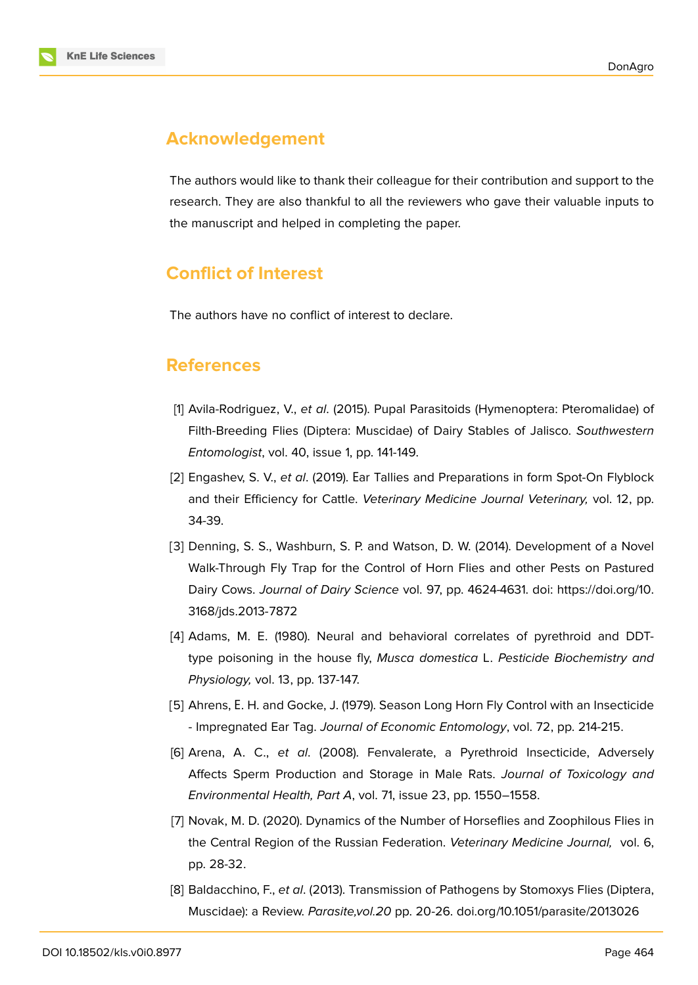# **Acknowledgement**

The authors would like to thank their colleague for their contribution and support to the research. They are also thankful to all the reviewers who gave their valuable inputs to the manuscript and helped in completing the paper.

# **Conflict of Interest**

The authors have no conflict of interest to declare.

### **References**

- [1] Avila-Rodriguez, V., *et al*. (2015). Pupal Parasitoids (Hymenoptera: Pteromalidae) of Filth-Breeding Flies (Diptera: Muscidae) of Dairy Stables of Jalisco. *Southwestern Entomologist*, vol. 40, issue 1, pp. 141-149.
- <span id="page-8-6"></span>[2] Engashev, S. V., *et al*. (2019). Еar Tallies and Preparations in form Spot-On Flyblock and their Efficiency for Cattle. *Veterinary Medicine Journal Veterinary,* vol. 12, pp. 34-39.
- <span id="page-8-3"></span>[3] Denning, S. S., Washburn, S. P. and Watson, D. W. (2014). Development of a Novel Walk-Through Fly Trap for the Control of Horn Flies and other Pests on Pastured Dairy Cows. *Journal of Dairy Science* vol. 97, pp. 4624-4631. doi: https://doi.org/10. 3168/jds.2013-7872
- <span id="page-8-0"></span>[4] Adams, M. E. (1980). Neural and behavioral correlates of pyrethroid and DDTtype poisoning in the house fly, *Musca domestica* L. *Pesticide [Biochemistry and](https://doi.org/10.3168/jds.2013-7872) [Physiology,](https://doi.org/10.3168/jds.2013-7872)* vol. 13, pp. 137-147.
- <span id="page-8-1"></span>[5] Ahrens, Е. H. and Gocke, J. (1979). Season Long Horn Fly Control with an Insecticide - Impregnated Ear Tag. *Journal of Economic Entomology*, vol. 72, pp. 214-215.
- [6] Arena, A. C., *et al*. (2008). Fenvalerate, a Pyrethroid Insecticide, Adversely Affects Sperm Production and Storage in Male Rats. *Journal of Toxicology and Environmental Health, Part A*, vol. 71, issue 23, pp. 1550–1558.
- <span id="page-8-2"></span>[7] Novak, M. D. (2020). Dynamics of the Number of Horseflies and Zoophilous Flies in the Central Region of the Russian Federation. *Veterinary Medicine Journal,* vol. 6, pp. 28-32.
- <span id="page-8-5"></span><span id="page-8-4"></span>[8] Baldacchino, F., *et al*. (2013). Transmission of Pathogens by Stomoxys Flies (Diptera, Muscidae): a Review. *Parasite,vol.20* pp. 20-26. doi.org/10.1051/parasite/2013026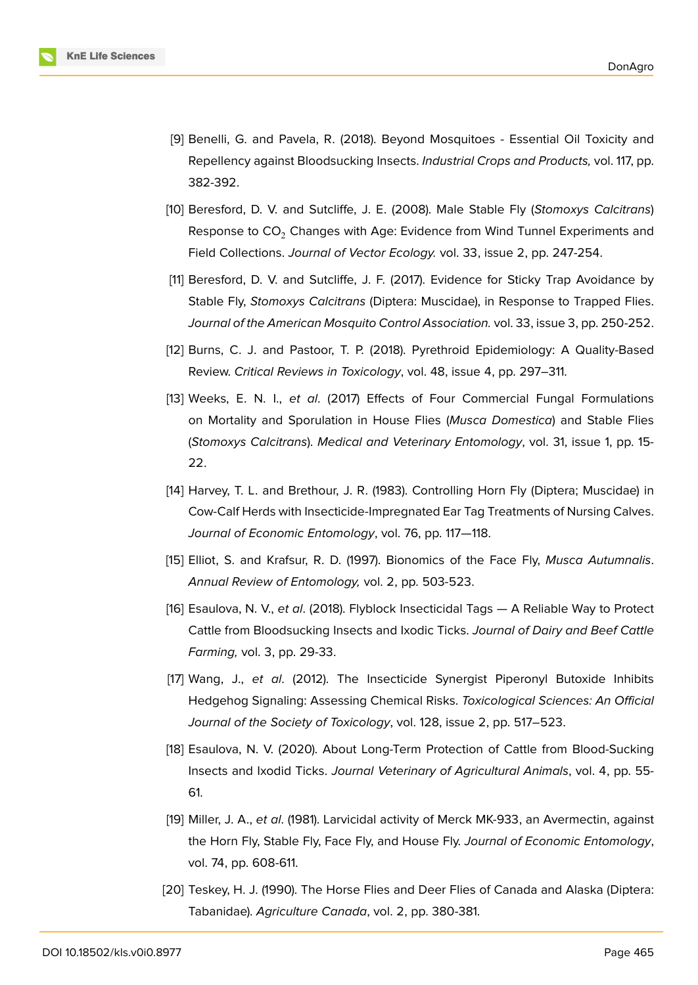

- <span id="page-9-0"></span>[9] Benelli, G. and Pavela, R. (2018). Beyond Mosquitoes - Essential Oil Toxicity and Repellency against Bloodsucking Insects. *Industrial Crops and Products,* vol. 117, pp. 382-392.
- <span id="page-9-1"></span>[10] Beresford, D. V. and Sutcliffe, J. E. (2008). Male Stable Fly (*Stomoxys Calcitrans*) Response to CO<sub>2</sub> Changes with Age: Evidence from Wind Tunnel Experiments and Field Collections. *Journal of Vector Ecology.* vol. 33, issue 2, pp. 247-254.
- <span id="page-9-2"></span>[11] Beresford, D. V. and Sutcliffe, J. F. (2017). Evidence for Sticky Trap Avoidance by Stable Fly, *Stomoxys Calcitrans* (Diptera: Muscidae), in Response to Trapped Flies. *Journal of the American Mosquito Control Association.* vol. 33, issue 3, pp. 250-252.
- <span id="page-9-3"></span>[12] Burns, C. J. and Pastoor, T. P. (2018). Pyrethroid Epidemiology: A Quality-Based Review. *Critical Reviews in Toxicology*, vol. 48, issue 4, pp. 297–311.
- <span id="page-9-4"></span>[13] Weeks, E. N. I., *et al*. (2017) Effects of Four Commercial Fungal Formulations on Mortality and Sporulation in House Flies (*Musca Domestica*) and Stable Flies (*Stomoxys Calcitrans*). *Medical and Veterinary Entomology*, vol. 31, issue 1, pp. 15- 22.
- [14] Harvey, T. L. and Brethour, J. R. (1983). Controlling Horn Fly (Diptera; Muscidae) in Cow-Calf Herds with Insecticide-Impregnated Ear Tag Treatments of Nursing Calves. *Journal of Economic Entomology*, vol. 76, pp. 117—118.
- <span id="page-9-5"></span>[15] Elliot, S. and Krafsur, R. D. (1997). Bionomics of the Face Fly, *Musca Autumnalis*. *Annual Review of Entomology,* vol. 2, pp. 503-523.
- <span id="page-9-7"></span>[16] Esaulova, N. V., *et al*. (2018). Flyblock Insecticidal Tags — A Reliable Way to Protect Cattle from Bloodsucking Insects and Ixodic Ticks. *Journal of Dairy and Beef Cattle Farming,* vol. 3, pp. 29-33.
- <span id="page-9-6"></span>[17] Wang, J., *et al*. (2012). The Insecticide Synergist Piperonyl Butoxide Inhibits Hedgehog Signaling: Assessing Chemical Risks. *Toxicological Sciences: An Official Journal of the Society of Toxicology*, vol. 128, issue 2, pp. 517–523.
- <span id="page-9-8"></span>[18] Esaulova, N. V. (2020). About Long-Term Protection of Cattle from Blood-Sucking Insects and Ixodid Ticks. *Journal Veterinary of Agricultural Animals*, vol. 4, pp. 55- 61.
- <span id="page-9-9"></span>[19] Miller, J. A., *et al*. (1981). Larvicidal activity of Merck MK-933, an Avermectin, against the Horn Fly, Stable Fly, Face Fly, and House Fly. *Journal of Economic Entomology*, vol. 74, pp. 608-611.
- [20] Teskey, H. J. (1990). The Horse Flies and Deer Flies of Canada and Alaska (Diptera: Tabanidae). *Agriculture Canada*, vol. 2, pp. 380-381.